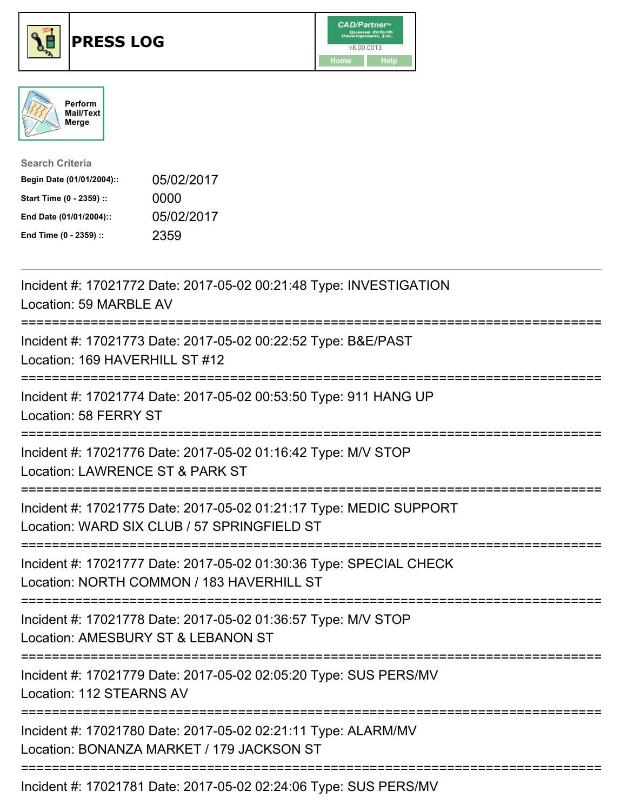





| <b>Search Criteria</b>    |            |
|---------------------------|------------|
| Begin Date (01/01/2004):: | 05/02/2017 |
| Start Time (0 - 2359) ::  | 0000       |
| End Date (01/01/2004)::   | 05/02/2017 |
| End Time (0 - 2359) ::    | 2359       |

| Incident #: 17021772 Date: 2017-05-02 00:21:48 Type: INVESTIGATION<br>Location: 59 MARBLE AV                                                     |
|--------------------------------------------------------------------------------------------------------------------------------------------------|
| Incident #: 17021773 Date: 2017-05-02 00:22:52 Type: B&E/PAST<br>Location: 169 HAVERHILL ST #12                                                  |
| Incident #: 17021774 Date: 2017-05-02 00:53:50 Type: 911 HANG UP<br>Location: 58 FERRY ST                                                        |
| Incident #: 17021776 Date: 2017-05-02 01:16:42 Type: M/V STOP<br>Location: LAWRENCE ST & PARK ST                                                 |
| Incident #: 17021775 Date: 2017-05-02 01:21:17 Type: MEDIC SUPPORT<br>Location: WARD SIX CLUB / 57 SPRINGFIELD ST<br>-----------------------     |
| Incident #: 17021777 Date: 2017-05-02 01:30:36 Type: SPECIAL CHECK<br>Location: NORTH COMMON / 183 HAVERHILL ST<br>:============================ |
| Incident #: 17021778 Date: 2017-05-02 01:36:57 Type: M/V STOP<br>Location: AMESBURY ST & LEBANON ST                                              |
| Incident #: 17021779 Date: 2017-05-02 02:05:20 Type: SUS PERS/MV<br>Location: 112 STEARNS AV                                                     |
| Incident #: 17021780 Date: 2017-05-02 02:21:11 Type: ALARM/MV<br>Location: BONANZA MARKET / 179 JACKSON ST                                       |
| Incident #: 17021781 Date: 2017-05-02 02:24:06 Type: SUS PERS/MV                                                                                 |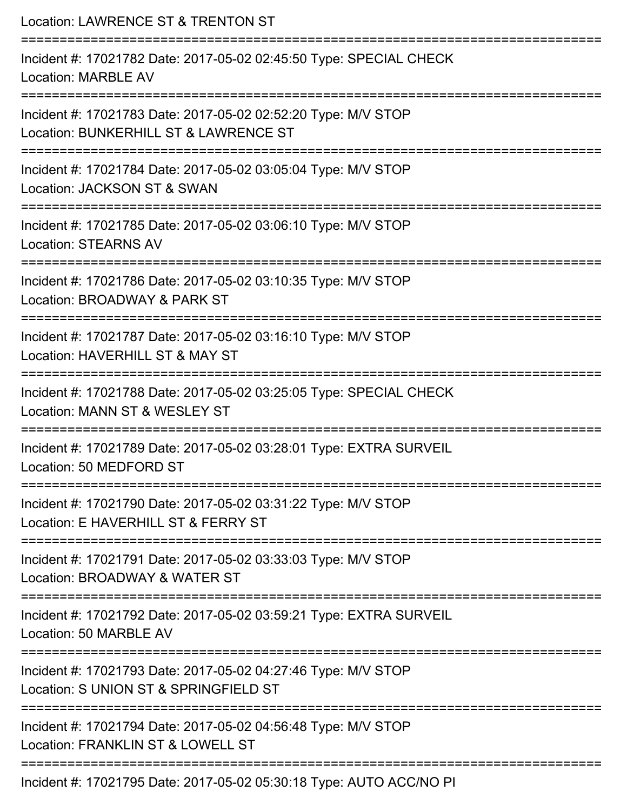Location: LAWRENCE ST & TRENTON ST =========================================================================== Incident #: 17021782 Date: 2017-05-02 02:45:50 Type: SPECIAL CHECK Location: MARBLE AV =========================================================================== Incident #: 17021783 Date: 2017-05-02 02:52:20 Type: M/V STOP Location: BUNKERHILL ST & LAWRENCE ST =========================================================================== Incident #: 17021784 Date: 2017-05-02 03:05:04 Type: M/V STOP Location: JACKSON ST & SWAN =========================================================================== Incident #: 17021785 Date: 2017-05-02 03:06:10 Type: M/V STOP Location: STEARNS AV =========================================================================== Incident #: 17021786 Date: 2017-05-02 03:10:35 Type: M/V STOP Location: BROADWAY & PARK ST =========================================================================== Incident #: 17021787 Date: 2017-05-02 03:16:10 Type: M/V STOP Location: HAVERHILL ST & MAY ST =========================================================================== Incident #: 17021788 Date: 2017-05-02 03:25:05 Type: SPECIAL CHECK Location: MANN ST & WESLEY ST =========================================================================== Incident #: 17021789 Date: 2017-05-02 03:28:01 Type: EXTRA SURVEIL Location: 50 MEDFORD ST =========================================================================== Incident #: 17021790 Date: 2017-05-02 03:31:22 Type: M/V STOP Location: F HAVERHILL ST & FERRY ST =========================================================================== Incident #: 17021791 Date: 2017-05-02 03:33:03 Type: M/V STOP Location: BROADWAY & WATER ST =========================================================================== Incident #: 17021792 Date: 2017-05-02 03:59:21 Type: EXTRA SURVEIL Location: 50 MARBLE AV =========================================================================== Incident #: 17021793 Date: 2017-05-02 04:27:46 Type: M/V STOP Location: S UNION ST & SPRINGFIELD ST =========================================================================== Incident #: 17021794 Date: 2017-05-02 04:56:48 Type: M/V STOP Location: FRANKLIN ST & LOWELL ST =========================================================================== Incident #: 17021795 Date: 2017-05-02 05:30:18 Type: AUTO ACC/NO PI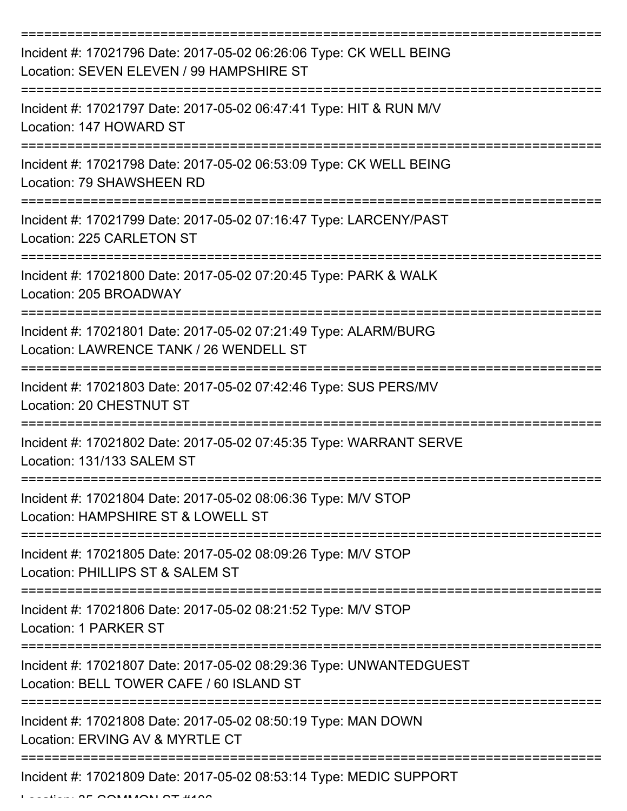| Incident #: 17021796 Date: 2017-05-02 06:26:06 Type: CK WELL BEING<br>Location: SEVEN ELEVEN / 99 HAMPSHIRE ST |
|----------------------------------------------------------------------------------------------------------------|
| Incident #: 17021797 Date: 2017-05-02 06:47:41 Type: HIT & RUN M/V<br>Location: 147 HOWARD ST                  |
| Incident #: 17021798 Date: 2017-05-02 06:53:09 Type: CK WELL BEING<br>Location: 79 SHAWSHEEN RD                |
| Incident #: 17021799 Date: 2017-05-02 07:16:47 Type: LARCENY/PAST<br>Location: 225 CARLETON ST                 |
| Incident #: 17021800 Date: 2017-05-02 07:20:45 Type: PARK & WALK<br>Location: 205 BROADWAY                     |
| Incident #: 17021801 Date: 2017-05-02 07:21:49 Type: ALARM/BURG<br>Location: LAWRENCE TANK / 26 WENDELL ST     |
| Incident #: 17021803 Date: 2017-05-02 07:42:46 Type: SUS PERS/MV<br>Location: 20 CHESTNUT ST                   |
| Incident #: 17021802 Date: 2017-05-02 07:45:35 Type: WARRANT SERVE<br>Location: 131/133 SALEM ST               |
| Incident #: 17021804 Date: 2017-05-02 08:06:36 Type: M/V STOP<br>Location: HAMPSHIRE ST & LOWELL ST            |
| Incident #: 17021805 Date: 2017-05-02 08:09:26 Type: M/V STOP<br>Location: PHILLIPS ST & SALEM ST              |
| Incident #: 17021806 Date: 2017-05-02 08:21:52 Type: M/V STOP<br>Location: 1 PARKER ST                         |
| Incident #: 17021807 Date: 2017-05-02 08:29:36 Type: UNWANTEDGUEST<br>Location: BELL TOWER CAFE / 60 ISLAND ST |
| Incident #: 17021808 Date: 2017-05-02 08:50:19 Type: MAN DOWN<br>Location: ERVING AV & MYRTLE CT               |
| Incident #: 17021809 Date: 2017-05-02 08:53:14 Type: MEDIC SUPPORT                                             |

 $L_{\text{max}}$   $\Delta$ F  $\Delta$ AMMON  $\Delta$ T  $\mu$ <sub>4</sub>AA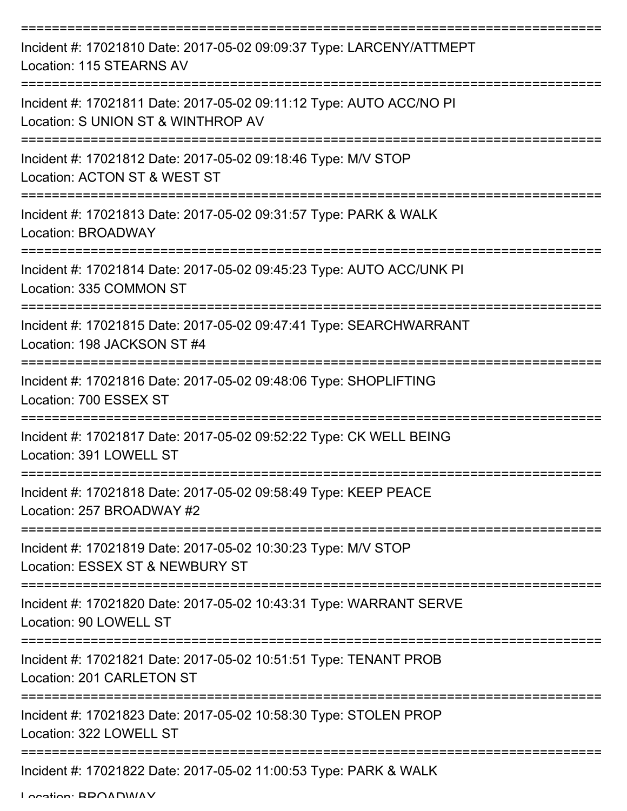| Incident #: 17021810 Date: 2017-05-02 09:09:37 Type: LARCENY/ATTMEPT<br>Location: 115 STEARNS AV                                       |
|----------------------------------------------------------------------------------------------------------------------------------------|
| Incident #: 17021811 Date: 2017-05-02 09:11:12 Type: AUTO ACC/NO PI<br>Location: S UNION ST & WINTHROP AV                              |
| Incident #: 17021812 Date: 2017-05-02 09:18:46 Type: M/V STOP<br>Location: ACTON ST & WEST ST                                          |
| Incident #: 17021813 Date: 2017-05-02 09:31:57 Type: PARK & WALK<br>Location: BROADWAY                                                 |
| Incident #: 17021814 Date: 2017-05-02 09:45:23 Type: AUTO ACC/UNK PI<br>Location: 335 COMMON ST                                        |
| :================================<br>Incident #: 17021815 Date: 2017-05-02 09:47:41 Type: SEARCHWARRANT<br>Location: 198 JACKSON ST #4 |
| Incident #: 17021816 Date: 2017-05-02 09:48:06 Type: SHOPLIFTING<br>Location: 700 ESSEX ST                                             |
| Incident #: 17021817 Date: 2017-05-02 09:52:22 Type: CK WELL BEING<br>Location: 391 LOWELL ST                                          |
| Incident #: 17021818 Date: 2017-05-02 09:58:49 Type: KEEP PEACE<br>Location: 257 BROADWAY #2                                           |
| Incident #: 17021819 Date: 2017-05-02 10:30:23 Type: M/V STOP<br>Location: ESSEX ST & NEWBURY ST                                       |
| Incident #: 17021820 Date: 2017-05-02 10:43:31 Type: WARRANT SERVE<br>Location: 90 LOWELL ST                                           |
| Incident #: 17021821 Date: 2017-05-02 10:51:51 Type: TENANT PROB<br>Location: 201 CARLETON ST                                          |
| Incident #: 17021823 Date: 2017-05-02 10:58:30 Type: STOLEN PROP<br>Location: 322 LOWELL ST                                            |
| Incident #: 17021822 Date: 2017-05-02 11:00:53 Type: PARK & WALK                                                                       |

Location: BROADWAY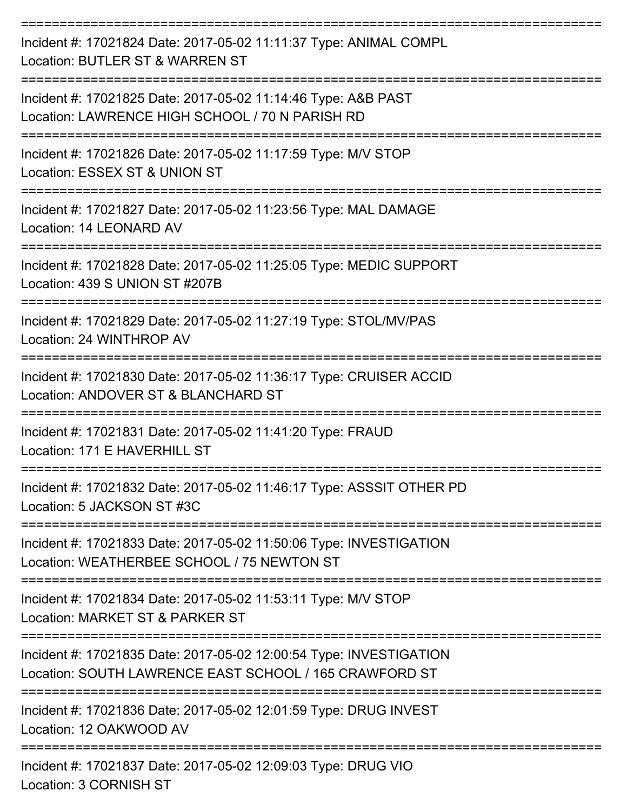| Incident #: 17021824 Date: 2017-05-02 11:11:37 Type: ANIMAL COMPL<br>Location: BUTLER ST & WARREN ST                                    |
|-----------------------------------------------------------------------------------------------------------------------------------------|
| Incident #: 17021825 Date: 2017-05-02 11:14:46 Type: A&B PAST<br>Location: LAWRENCE HIGH SCHOOL / 70 N PARISH RD                        |
| Incident #: 17021826 Date: 2017-05-02 11:17:59 Type: M/V STOP<br>Location: ESSEX ST & UNION ST                                          |
| Incident #: 17021827 Date: 2017-05-02 11:23:56 Type: MAL DAMAGE<br>Location: 14 LEONARD AV                                              |
| Incident #: 17021828 Date: 2017-05-02 11:25:05 Type: MEDIC SUPPORT<br>Location: 439 S UNION ST #207B                                    |
| Incident #: 17021829 Date: 2017-05-02 11:27:19 Type: STOL/MV/PAS<br>Location: 24 WINTHROP AV                                            |
| Incident #: 17021830 Date: 2017-05-02 11:36:17 Type: CRUISER ACCID<br>Location: ANDOVER ST & BLANCHARD ST<br>----------                 |
| Incident #: 17021831 Date: 2017-05-02 11:41:20 Type: FRAUD<br>Location: 171 E HAVERHILL ST                                              |
| :================<br>Incident #: 17021832 Date: 2017-05-02 11:46:17 Type: ASSSIT OTHER PD<br>Location: 5 JACKSON ST #3C                 |
| :==================<br>Incident #: 17021833 Date: 2017-05-02 11:50:06 Type: INVESTIGATION<br>Location: WEATHERBEE SCHOOL / 75 NEWTON ST |
| Incident #: 17021834 Date: 2017-05-02 11:53:11 Type: M/V STOP<br>Location: MARKET ST & PARKER ST                                        |
| Incident #: 17021835 Date: 2017-05-02 12:00:54 Type: INVESTIGATION<br>Location: SOUTH LAWRENCE EAST SCHOOL / 165 CRAWFORD ST            |
| Incident #: 17021836 Date: 2017-05-02 12:01:59 Type: DRUG INVEST<br>Location: 12 OAKWOOD AV                                             |
| Incident #: 17021837 Date: 2017-05-02 12:09:03 Type: DRUG VIO<br>Location: 3 CORNISH ST                                                 |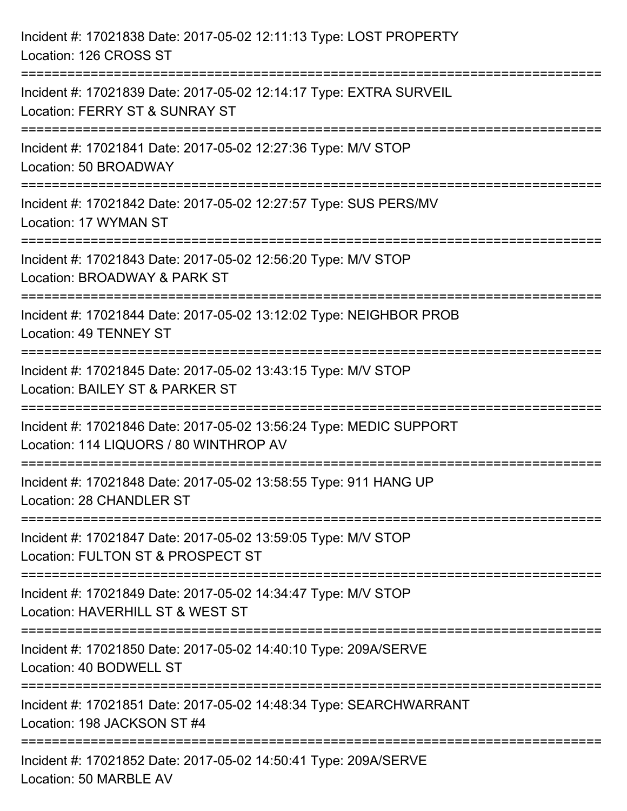| Incident #: 17021838 Date: 2017-05-02 12:11:13 Type: LOST PROPERTY<br>Location: 126 CROSS ST                                         |
|--------------------------------------------------------------------------------------------------------------------------------------|
| Incident #: 17021839 Date: 2017-05-02 12:14:17 Type: EXTRA SURVEIL<br>Location: FERRY ST & SUNRAY ST                                 |
| Incident #: 17021841 Date: 2017-05-02 12:27:36 Type: M/V STOP<br>Location: 50 BROADWAY<br>===============================            |
| Incident #: 17021842 Date: 2017-05-02 12:27:57 Type: SUS PERS/MV<br>Location: 17 WYMAN ST                                            |
| Incident #: 17021843 Date: 2017-05-02 12:56:20 Type: M/V STOP<br>Location: BROADWAY & PARK ST<br>=================================== |
| Incident #: 17021844 Date: 2017-05-02 13:12:02 Type: NEIGHBOR PROB<br><b>Location: 49 TENNEY ST</b>                                  |
| Incident #: 17021845 Date: 2017-05-02 13:43:15 Type: M/V STOP<br>Location: BAILEY ST & PARKER ST                                     |
| Incident #: 17021846 Date: 2017-05-02 13:56:24 Type: MEDIC SUPPORT<br>Location: 114 LIQUORS / 80 WINTHROP AV                         |
| Incident #: 17021848 Date: 2017-05-02 13:58:55 Type: 911 HANG UP<br>Location: 28 CHANDLER ST                                         |
| Incident #: 17021847 Date: 2017-05-02 13:59:05 Type: M/V STOP<br>Location: FULTON ST & PROSPECT ST                                   |
| Incident #: 17021849 Date: 2017-05-02 14:34:47 Type: M/V STOP<br>Location: HAVERHILL ST & WEST ST                                    |
| Incident #: 17021850 Date: 2017-05-02 14:40:10 Type: 209A/SERVE<br>Location: 40 BODWELL ST                                           |
| Incident #: 17021851 Date: 2017-05-02 14:48:34 Type: SEARCHWARRANT<br>Location: 198 JACKSON ST #4                                    |
| Incident #: 17021852 Date: 2017-05-02 14:50:41 Type: 209A/SERVE<br>Location: 50 MARBLE AV                                            |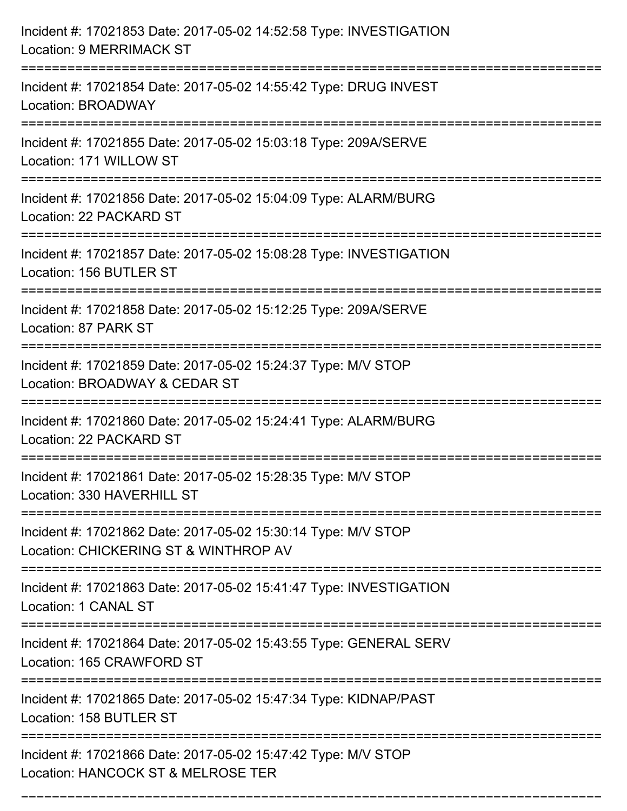| Incident #: 17021853 Date: 2017-05-02 14:52:58 Type: INVESTIGATION<br><b>Location: 9 MERRIMACK ST</b>  |
|--------------------------------------------------------------------------------------------------------|
| Incident #: 17021854 Date: 2017-05-02 14:55:42 Type: DRUG INVEST<br>Location: BROADWAY                 |
| Incident #: 17021855 Date: 2017-05-02 15:03:18 Type: 209A/SERVE<br>Location: 171 WILLOW ST             |
| Incident #: 17021856 Date: 2017-05-02 15:04:09 Type: ALARM/BURG<br>Location: 22 PACKARD ST             |
| Incident #: 17021857 Date: 2017-05-02 15:08:28 Type: INVESTIGATION<br>Location: 156 BUTLER ST          |
| Incident #: 17021858 Date: 2017-05-02 15:12:25 Type: 209A/SERVE<br>Location: 87 PARK ST                |
| Incident #: 17021859 Date: 2017-05-02 15:24:37 Type: M/V STOP<br>Location: BROADWAY & CEDAR ST         |
| Incident #: 17021860 Date: 2017-05-02 15:24:41 Type: ALARM/BURG<br>Location: 22 PACKARD ST             |
| Incident #: 17021861 Date: 2017-05-02 15:28:35 Type: M/V STOP<br>Location: 330 HAVERHILL ST            |
| Incident #: 17021862 Date: 2017-05-02 15:30:14 Type: M/V STOP<br>Location: CHICKERING ST & WINTHROP AV |
| Incident #: 17021863 Date: 2017-05-02 15:41:47 Type: INVESTIGATION<br>Location: 1 CANAL ST             |
| Incident #: 17021864 Date: 2017-05-02 15:43:55 Type: GENERAL SERV<br>Location: 165 CRAWFORD ST         |
| Incident #: 17021865 Date: 2017-05-02 15:47:34 Type: KIDNAP/PAST<br>Location: 158 BUTLER ST            |
| Incident #: 17021866 Date: 2017-05-02 15:47:42 Type: M/V STOP<br>Location: HANCOCK ST & MELROSE TER    |

===========================================================================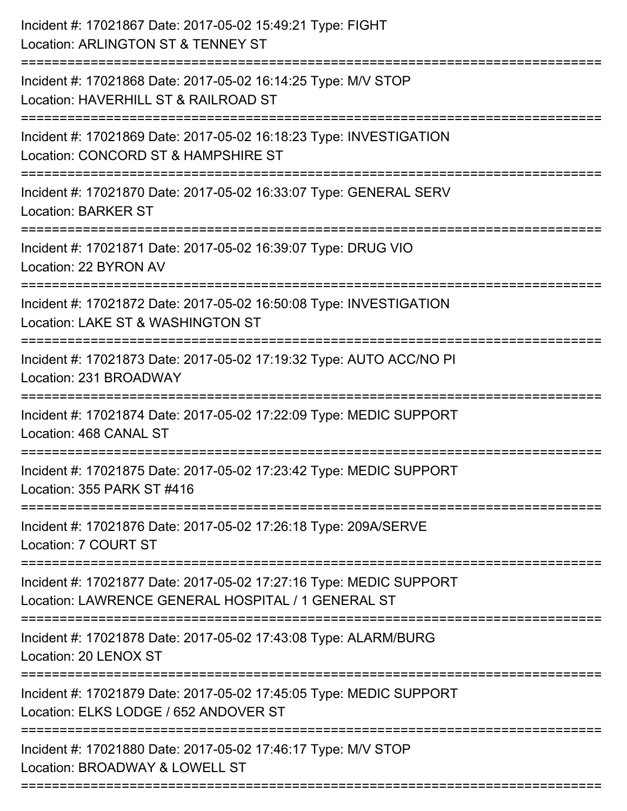| Incident #: 17021867 Date: 2017-05-02 15:49:21 Type: FIGHT<br>Location: ARLINGTON ST & TENNEY ST                         |
|--------------------------------------------------------------------------------------------------------------------------|
| Incident #: 17021868 Date: 2017-05-02 16:14:25 Type: M/V STOP<br>Location: HAVERHILL ST & RAILROAD ST                    |
| Incident #: 17021869 Date: 2017-05-02 16:18:23 Type: INVESTIGATION<br>Location: CONCORD ST & HAMPSHIRE ST                |
| Incident #: 17021870 Date: 2017-05-02 16:33:07 Type: GENERAL SERV<br><b>Location: BARKER ST</b>                          |
| Incident #: 17021871 Date: 2017-05-02 16:39:07 Type: DRUG VIO<br>Location: 22 BYRON AV                                   |
| Incident #: 17021872 Date: 2017-05-02 16:50:08 Type: INVESTIGATION<br>Location: LAKE ST & WASHINGTON ST                  |
| Incident #: 17021873 Date: 2017-05-02 17:19:32 Type: AUTO ACC/NO PI<br>Location: 231 BROADWAY                            |
| Incident #: 17021874 Date: 2017-05-02 17:22:09 Type: MEDIC SUPPORT<br>Location: 468 CANAL ST                             |
| Incident #: 17021875 Date: 2017-05-02 17:23:42 Type: MEDIC SUPPORT<br>Location: 355 PARK ST #416                         |
| Incident #: 17021876 Date: 2017-05-02 17:26:18 Type: 209A/SERVE<br>Location: 7 COURT ST                                  |
| Incident #: 17021877 Date: 2017-05-02 17:27:16 Type: MEDIC SUPPORT<br>Location: LAWRENCE GENERAL HOSPITAL / 1 GENERAL ST |
| Incident #: 17021878 Date: 2017-05-02 17:43:08 Type: ALARM/BURG<br>Location: 20 LENOX ST                                 |
| Incident #: 17021879 Date: 2017-05-02 17:45:05 Type: MEDIC SUPPORT<br>Location: ELKS LODGE / 652 ANDOVER ST              |
| ==================<br>Incident #: 17021880 Date: 2017-05-02 17:46:17 Type: M/V STOP<br>Location: BROADWAY & LOWELL ST    |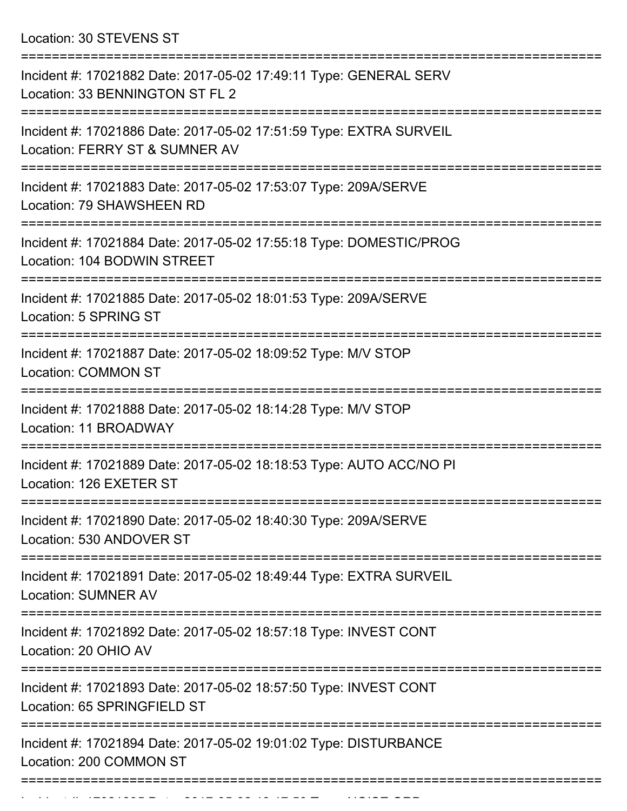Location: 30 STEVENS ST

| Incident #: 17021882 Date: 2017-05-02 17:49:11 Type: GENERAL SERV<br>Location: 33 BENNINGTON ST FL 2                 |
|----------------------------------------------------------------------------------------------------------------------|
| Incident #: 17021886 Date: 2017-05-02 17:51:59 Type: EXTRA SURVEIL<br>Location: FERRY ST & SUMNER AV                 |
| Incident #: 17021883 Date: 2017-05-02 17:53:07 Type: 209A/SERVE<br>Location: 79 SHAWSHEEN RD                         |
| Incident #: 17021884 Date: 2017-05-02 17:55:18 Type: DOMESTIC/PROG<br>Location: 104 BODWIN STREET                    |
| Incident #: 17021885 Date: 2017-05-02 18:01:53 Type: 209A/SERVE<br>Location: 5 SPRING ST                             |
| Incident #: 17021887 Date: 2017-05-02 18:09:52 Type: M/V STOP<br><b>Location: COMMON ST</b>                          |
| Incident #: 17021888 Date: 2017-05-02 18:14:28 Type: M/V STOP<br>Location: 11 BROADWAY                               |
| Incident #: 17021889 Date: 2017-05-02 18:18:53 Type: AUTO ACC/NO PI<br>Location: 126 EXETER ST                       |
| Incident #: 17021890 Date: 2017-05-02 18:40:30 Type: 209A/SERVE<br>Location: 530 ANDOVER ST                          |
| ================<br>Incident #: 17021891 Date: 2017-05-02 18:49:44 Type: EXTRA SURVEIL<br><b>Location: SUMNER AV</b> |
| Incident #: 17021892 Date: 2017-05-02 18:57:18 Type: INVEST CONT<br>Location: 20 OHIO AV                             |
| Incident #: 17021893 Date: 2017-05-02 18:57:50 Type: INVEST CONT<br>Location: 65 SPRINGFIELD ST                      |
| Incident #: 17021894 Date: 2017-05-02 19:01:02 Type: DISTURBANCE<br>Location: 200 COMMON ST                          |
|                                                                                                                      |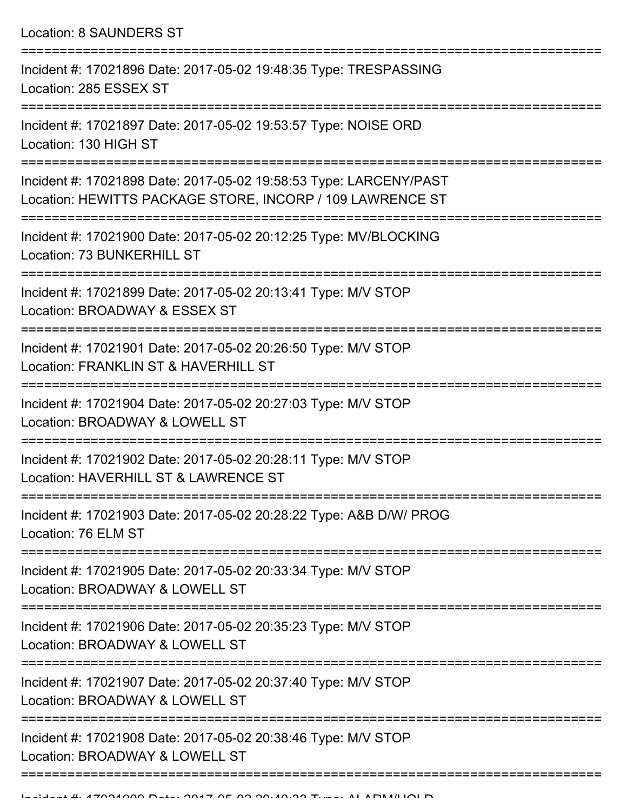Location: 8 SAUNDERS ST

| Incident #: 17021896 Date: 2017-05-02 19:48:35 Type: TRESPASSING<br>Location: 285 ESSEX ST                                     |
|--------------------------------------------------------------------------------------------------------------------------------|
| Incident #: 17021897 Date: 2017-05-02 19:53:57 Type: NOISE ORD<br>Location: 130 HIGH ST                                        |
| Incident #: 17021898 Date: 2017-05-02 19:58:53 Type: LARCENY/PAST<br>Location: HEWITTS PACKAGE STORE, INCORP / 109 LAWRENCE ST |
| Incident #: 17021900 Date: 2017-05-02 20:12:25 Type: MV/BLOCKING<br>Location: 73 BUNKERHILL ST                                 |
| Incident #: 17021899 Date: 2017-05-02 20:13:41 Type: M/V STOP<br>Location: BROADWAY & ESSEX ST                                 |
| Incident #: 17021901 Date: 2017-05-02 20:26:50 Type: M/V STOP<br>Location: FRANKLIN ST & HAVERHILL ST                          |
| Incident #: 17021904 Date: 2017-05-02 20:27:03 Type: M/V STOP<br>Location: BROADWAY & LOWELL ST                                |
| Incident #: 17021902 Date: 2017-05-02 20:28:11 Type: M/V STOP<br>Location: HAVERHILL ST & LAWRENCE ST                          |
| Incident #: 17021903 Date: 2017-05-02 20:28:22 Type: A&B D/W/ PROG<br>Location: 76 ELM ST                                      |
| Incident #: 17021905 Date: 2017-05-02 20:33:34 Type: M/V STOP<br>Location: BROADWAY & LOWELL ST                                |
| Incident #: 17021906 Date: 2017-05-02 20:35:23 Type: M/V STOP<br>Location: BROADWAY & LOWELL ST                                |
| Incident #: 17021907 Date: 2017-05-02 20:37:40 Type: M/V STOP<br>Location: BROADWAY & LOWELL ST                                |
| Incident #: 17021908 Date: 2017-05-02 20:38:46 Type: M/V STOP<br>Location: BROADWAY & LOWELL ST                                |
|                                                                                                                                |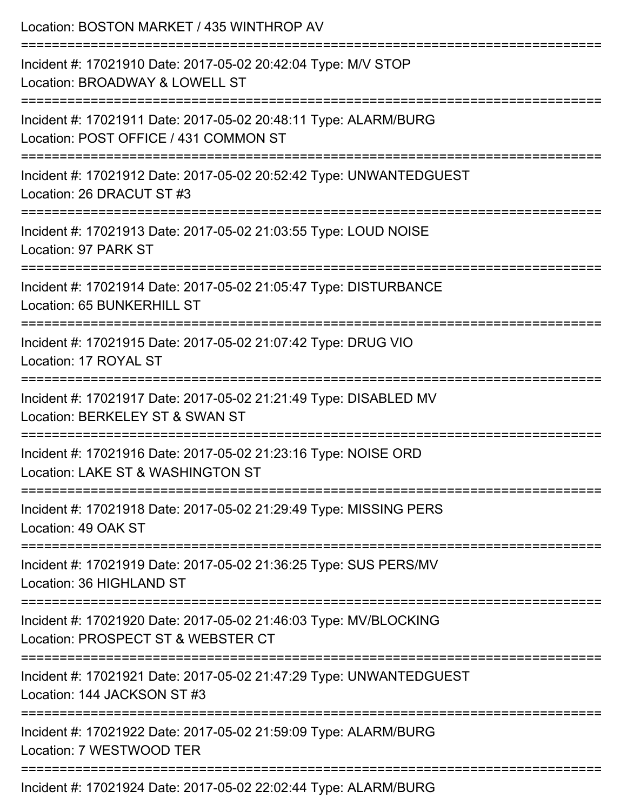| Location: BOSTON MARKET / 435 WINTHROP AV                                                                               |
|-------------------------------------------------------------------------------------------------------------------------|
| Incident #: 17021910 Date: 2017-05-02 20:42:04 Type: M/V STOP<br>Location: BROADWAY & LOWELL ST<br>:=================== |
| Incident #: 17021911 Date: 2017-05-02 20:48:11 Type: ALARM/BURG<br>Location: POST OFFICE / 431 COMMON ST                |
| Incident #: 17021912 Date: 2017-05-02 20:52:42 Type: UNWANTEDGUEST<br>Location: 26 DRACUT ST #3                         |
| Incident #: 17021913 Date: 2017-05-02 21:03:55 Type: LOUD NOISE<br>Location: 97 PARK ST                                 |
| Incident #: 17021914 Date: 2017-05-02 21:05:47 Type: DISTURBANCE<br>Location: 65 BUNKERHILL ST                          |
| Incident #: 17021915 Date: 2017-05-02 21:07:42 Type: DRUG VIO<br>Location: 17 ROYAL ST                                  |
| Incident #: 17021917 Date: 2017-05-02 21:21:49 Type: DISABLED MV<br>Location: BERKELEY ST & SWAN ST                     |
| Incident #: 17021916 Date: 2017-05-02 21:23:16 Type: NOISE ORD<br>Location: LAKE ST & WASHINGTON ST                     |
| Incident #: 17021918 Date: 2017-05-02 21:29:49 Type: MISSING PERS<br>Location: 49 OAK ST                                |
| Incident #: 17021919 Date: 2017-05-02 21:36:25 Type: SUS PERS/MV<br>Location: 36 HIGHLAND ST                            |
| Incident #: 17021920 Date: 2017-05-02 21:46:03 Type: MV/BLOCKING<br>Location: PROSPECT ST & WEBSTER CT                  |
| Incident #: 17021921 Date: 2017-05-02 21:47:29 Type: UNWANTEDGUEST<br>Location: 144 JACKSON ST #3                       |
| :===========<br>Incident #: 17021922 Date: 2017-05-02 21:59:09 Type: ALARM/BURG<br>Location: 7 WESTWOOD TER             |
| $Jnoid$ ont #: 17021024 Doto: 2017 05.02.02:02:44 Type: ALADM/DUDC                                                      |

Incident #: 17021924 Date: 2017-05-02 22:02:44 Type: ALARM/BURG